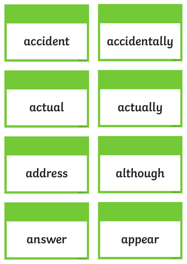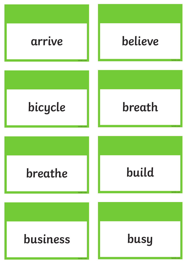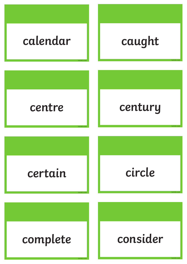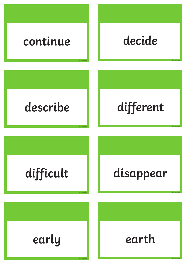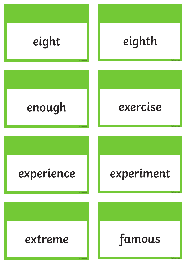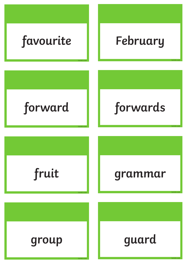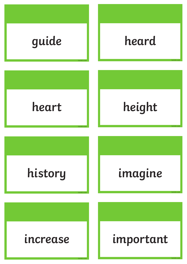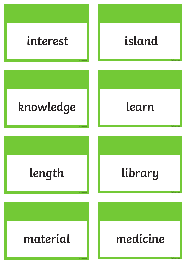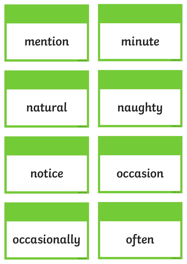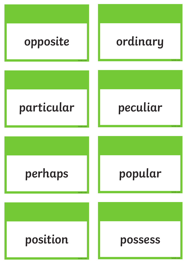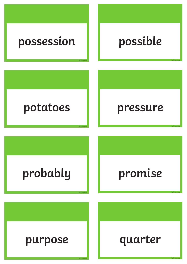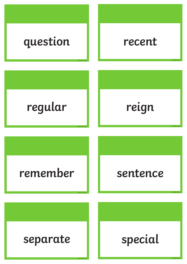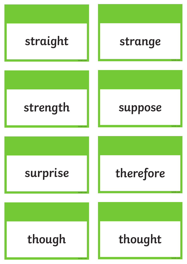